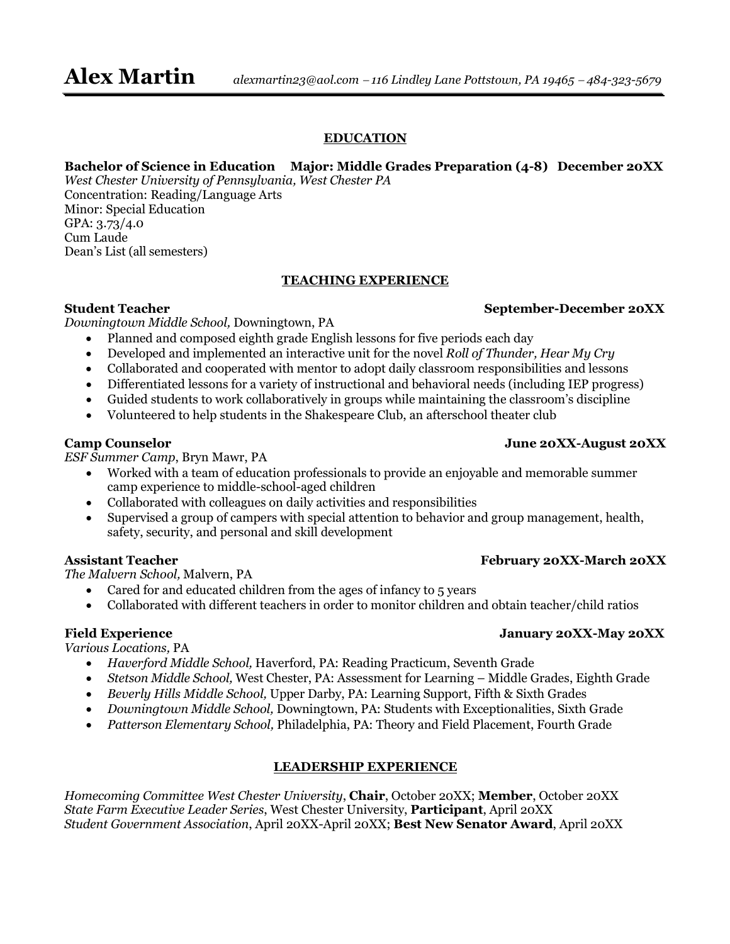#### **EDUCATION**

#### **Bachelor of Science in Education Major: Middle Grades Preparation (4-8) December 20XX**

*West Chester University of Pennsylvania, West Chester PA* Concentration: Reading/Language Arts Minor: Special Education GPA: 3.73/4.0 Cum Laude Dean's List (all semesters)

#### **TEACHING EXPERIENCE**

*Downingtown Middle School,* Downingtown, PA

- Planned and composed eighth grade English lessons for five periods each day
- Developed and implemented an interactive unit for the novel *Roll of Thunder, Hear My Cry*
- Collaborated and cooperated with mentor to adopt daily classroom responsibilities and lessons
- Differentiated lessons for a variety of instructional and behavioral needs (including IEP progress)
- Guided students to work collaboratively in groups while maintaining the classroom's discipline
- Volunteered to help students in the Shakespeare Club, an afterschool theater club

*ESF Summer Camp*, Bryn Mawr, PA

- Worked with a team of education professionals to provide an enjoyable and memorable summer camp experience to middle-school-aged children
- Collaborated with colleagues on daily activities and responsibilities
- Supervised a group of campers with special attention to behavior and group management, health, safety, security, and personal and skill development

#### **Assistant Teacher February 20XX-March 20XX**

*The Malvern School,* Malvern, PA

- Cared for and educated children from the ages of infancy to 5 years
- Collaborated with different teachers in order to monitor children and obtain teacher/child ratios

#### Field Experience January 20XX-May 20XX

#### *Various Locations,* PA

- *Haverford Middle School,* Haverford, PA: Reading Practicum, Seventh Grade
- *Stetson Middle School,* West Chester, PA: Assessment for Learning Middle Grades, Eighth Grade
- *Beverly Hills Middle School,* Upper Darby, PA: Learning Support, Fifth & Sixth Grades
- *Downingtown Middle School,* Downingtown, PA: Students with Exceptionalities, Sixth Grade
- *Patterson Elementary School,* Philadelphia, PA: Theory and Field Placement, Fourth Grade

#### **LEADERSHIP EXPERIENCE**

*Homecoming Committee West Chester University*, **Chair**, October 20XX; **Member**, October 20XX *State Farm Executive Leader Series*, West Chester University, **Participant**, April 20XX *Student Government Association*, April 20XX-April 20XX; **Best New Senator Award**, April 20XX

#### **Camp Counselor June 20XX-August 20XX**

## **Student Teacher September-December 20XX**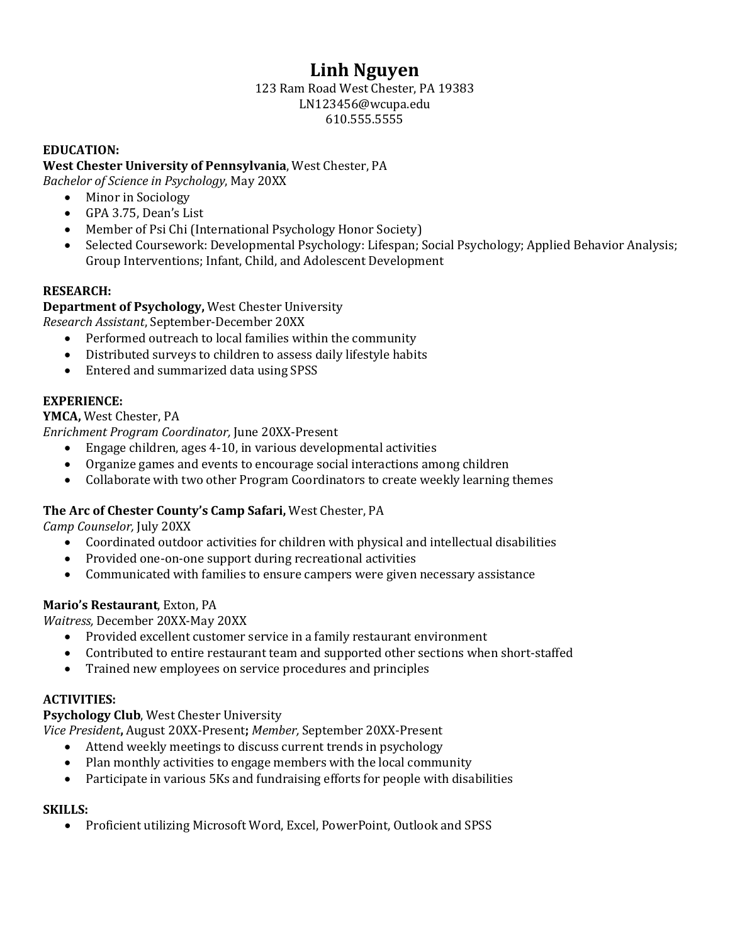# **Linh Nguyen**

#### 123 Ram Road West Chester, PA 19383 LN123456@wcupa.edu 610.555.5555

#### **EDUCATION:**

#### **West Chester University of Pennsylvania**, West Chester, PA

*Bachelor of Science in Psychology*, May 20XX

- Minor in Sociology
- GPA 3.75, Dean's List
- Member of Psi Chi (International Psychology Honor Society)
- Selected Coursework: Developmental Psychology: Lifespan; Social Psychology; Applied Behavior Analysis; Group Interventions; Infant, Child, and Adolescent Development

#### **RESEARCH:**

**Department of Psychology,** West Chester University *Research Assistant*, September-December 20XX

- Performed outreach to local families within the community
- Distributed surveys to children to assess daily lifestyle habits
- Entered and summarized data using SPSS

#### **EXPERIENCE:**

**YMCA,** West Chester, PA

*Enrichment Program Coordinator,* June 20XX-Present

- Engage children, ages 4-10, in various developmental activities
- Organize games and events to encourage social interactions among children
- Collaborate with two other Program Coordinators to create weekly learning themes

#### **The Arc of Chester County's Camp Safari,** West Chester, PA

*Camp Counselor,* July 20XX

- Coordinated outdoor activities for children with physical and intellectual disabilities
- Provided one-on-one support during recreational activities
- Communicated with families to ensure campers were given necessary assistance

#### **Mario's Restaurant**, Exton, PA

*Waitress,* December 20XX-May 20XX

- Provided excellent customer service in a family restaurant environment
- Contributed to entire restaurant team and supported other sections when short-staffed
- Trained new employees on service procedures and principles

#### **ACTIVITIES:**

#### **Psychology Club**, West Chester University

*Vice President***,** August 20XX-Present**;** *Member,* September 20XX-Present

- Attend weekly meetings to discuss current trends in psychology
- Plan monthly activities to engage members with the local community
- Participate in various 5Ks and fundraising efforts for people with disabilities

#### **SKILLS:**

• Proficient utilizing Microsoft Word, Excel, PowerPoint, Outlook and SPSS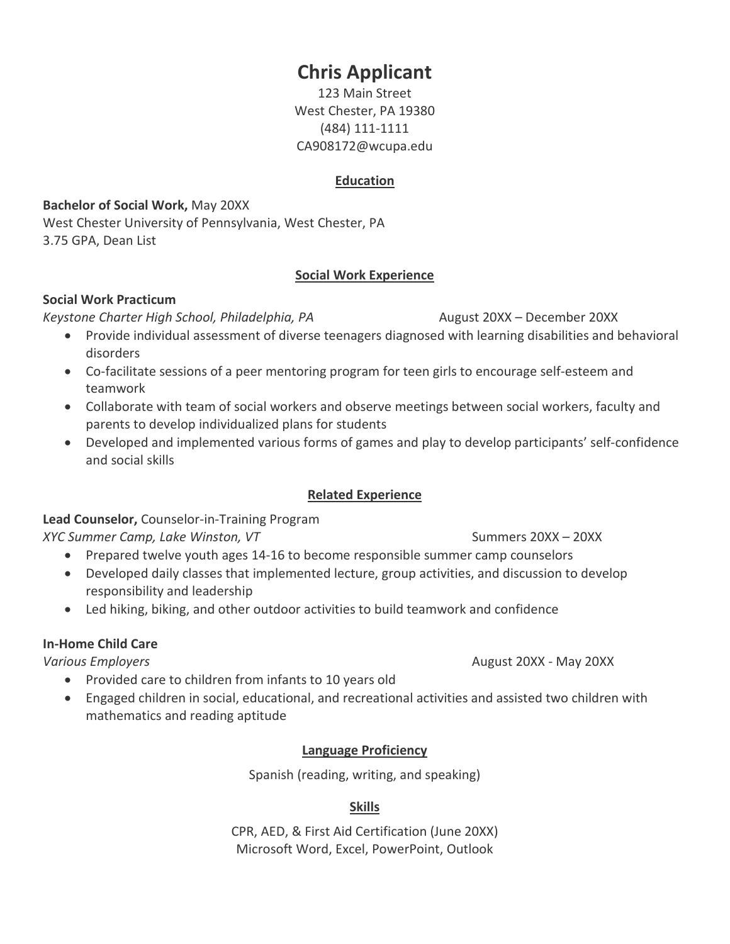# **Chris Applicant**

123 Main Street West Chester, PA 19380 (484) 111-1111 CA908172@wcupa.edu

#### **Education**

#### **Bachelor of Social Work,** May 20XX

West Chester University of Pennsylvania, West Chester, PA 3.75 GPA, Dean List

#### **Social Work Experience**

#### **Social Work Practicum**

*Keystone Charter High School, Philadelphia, PA* August 20XX – December 20XX

- 
- Provide individual assessment of diverse teenagers diagnosed with learning disabilities and behavioral disorders
- Co-facilitate sessions of a peer mentoring program for teen girls to encourage self-esteem and teamwork
- Collaborate with team of social workers and observe meetings between social workers, faculty and parents to develop individualized plans for students
- Developed and implemented various forms of games and play to develop participants' self-confidence and social skills

### **Related Experience**

### **Lead Counselor,** Counselor-in-Training Program

#### *XYC Summer Camp, Lake Winston, VT* Summers 20XX – 20XX – 20XX

- Prepared twelve youth ages 14-16 to become responsible summer camp counselors
- Developed daily classes that implemented lecture, group activities, and discussion to develop responsibility and leadership
- Led hiking, biking, and other outdoor activities to build teamwork and confidence

#### **In-Home Child Care**

- Provided care to children from infants to 10 years old
- Engaged children in social, educational, and recreational activities and assisted two children with mathematics and reading aptitude

### **Language Proficiency**

Spanish (reading, writing, and speaking)

### **Skills**

CPR, AED, & First Aid Certification (June 20XX) Microsoft Word, Excel, PowerPoint, Outlook

*Various Employers* August 20XX - May 20XX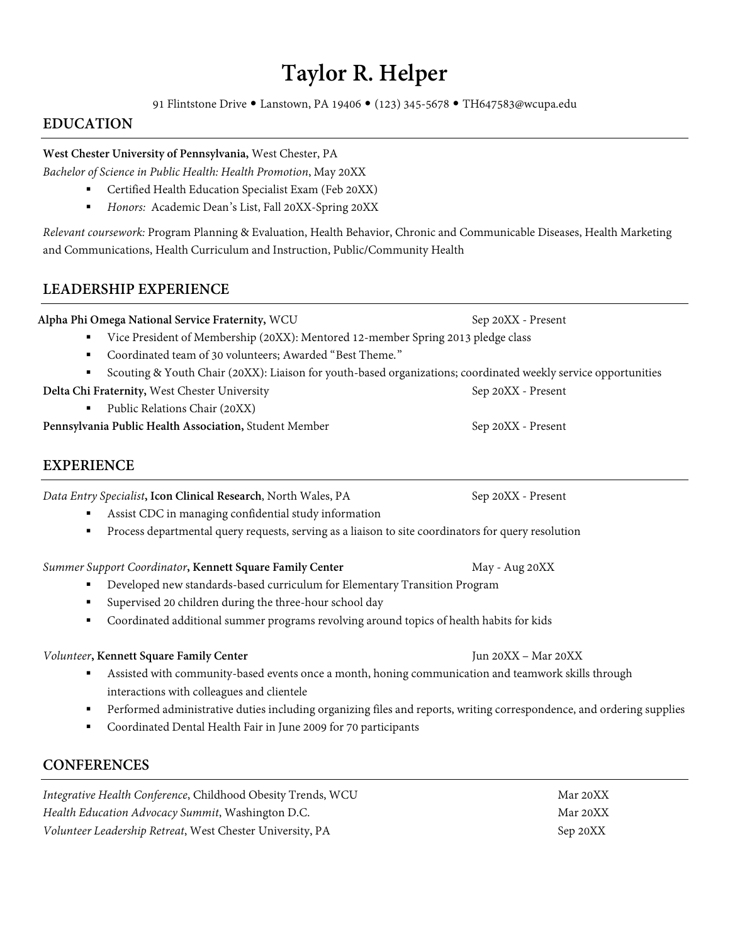# **Taylor R. Helper**

91 Flintstone Drive • Lanstown, PA 19406 • (123) 345-5678 • TH647583@wcupa.edu

#### **EDUCATION**

#### **West Chester University of Pennsylvania,** West Chester, PA

*Bachelor of Science in Public Health: Health Promotion*, May 20XX

- Certified Health Education Specialist Exam (Feb 20XX)
- *Honors:* Academic Dean's List, Fall 20XX-Spring 20XX

*Relevant coursework:* Program Planning & Evaluation, Health Behavior, Chronic and Communicable Diseases, Health Marketing and Communications, Health Curriculum and Instruction, Public/Community Health

#### **LEADERSHIP EXPERIENCE**

|                                                        | Alpha Phi Omega National Service Fraternity, WCU                                                               | Sep 20XX - Present |
|--------------------------------------------------------|----------------------------------------------------------------------------------------------------------------|--------------------|
|                                                        | Vice President of Membership (20XX): Mentored 12-member Spring 2013 pledge class                               |                    |
| $\blacksquare$                                         | Coordinated team of 30 volunteers; Awarded "Best Theme."                                                       |                    |
|                                                        | Scouting & Youth Chair (20XX): Liaison for youth-based organizations; coordinated weekly service opportunities |                    |
| Delta Chi Fraternity, West Chester University          |                                                                                                                | Sep 20XX - Present |
| $\blacksquare$                                         | Public Relations Chair (20XX)                                                                                  |                    |
| Pennsylvania Public Health Association, Student Member |                                                                                                                | Sep 20XX - Present |

#### **EXPERIENCE**

*Data Entry Specialist*, **Icon Clinical Research**, North Wales, PA Sep 20XX - Present

- Assist CDC in managing confidential study information
- Process departmental query requests, serving as a liaison to site coordinators for query resolution

#### **Summer Support Coordinator, Kennett Square Family Center May - Aug 20XX**

- Developed new standards-based curriculum for Elementary Transition Program
- Supervised 20 children during the three-hour school day
- Coordinated additional summer programs revolving around topics of health habits for kids

#### *Volunteer***, Kennett Square Family Center** Jun 20XX – Mar 20XX

- Assisted with community-based events once a month, honing communication and teamwork skills through interactions with colleagues and clientele
- Performed administrative duties including organizing files and reports, writing correspondence, and ordering supplies
- Coordinated Dental Health Fair in June 2009 for 70 participants

#### **CONFERENCES**

*Integrative Health Conference*, Childhood Obesity Trends, WCU Mar 20XX *Health Education Advocacy Summit*, Washington D.C. Mar 20XX *Volunteer Leadership Retreat*, West Chester University, PA Sep 20XX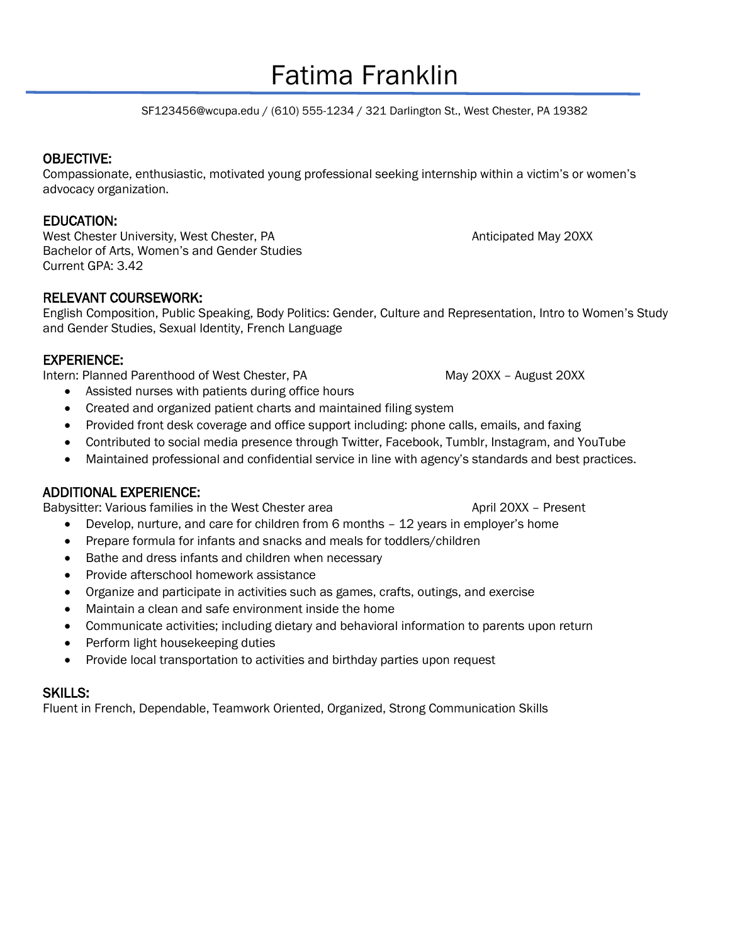# Fatima Franklin

SF123456@wcupa.edu / (610) 555-1234 / 321 Darlington St., West Chester, PA 19382

#### OBJECTIVE:

Compassionate, enthusiastic, motivated young professional seeking internship within a victim's or women's advocacy organization.

#### EDUCATION:

West Chester University, West Chester, PA Anticipated May 20XX Bachelor of Arts, Women's and Gender Studies Current GPA: 3.42

#### RELEVANT COURSEWORK:

English Composition, Public Speaking, Body Politics: Gender, Culture and Representation, Intro to Women's Study and Gender Studies, Sexual Identity, French Language

#### EXPERIENCE:

Intern: Planned Parenthood of West Chester, PA May 20XX – August 20XX

- Assisted nurses with patients during office hours
- Created and organized patient charts and maintained filing system
- Provided front desk coverage and office support including: phone calls, emails, and faxing
- Contributed to social media presence through Twitter, Facebook, Tumblr, Instagram, and YouTube
- Maintained professional and confidential service in line with agency's standards and best practices.

#### ADDITIONAL EXPERIENCE:

Babysitter: Various families in the West Chester area April 20XX - Present

- Develop, nurture, and care for children from 6 months 12 years in employer's home
- Prepare formula for infants and snacks and meals for toddlers/children
- Bathe and dress infants and children when necessary
- Provide afterschool homework assistance
- Organize and participate in activities such as games, crafts, outings, and exercise
- Maintain a clean and safe environment inside the home
- Communicate activities; including dietary and behavioral information to parents upon return
- Perform light housekeeping duties
- Provide local transportation to activities and birthday parties upon request

#### SKILLS:

Fluent in French, Dependable, Teamwork Oriented, Organized, Strong Communication Skills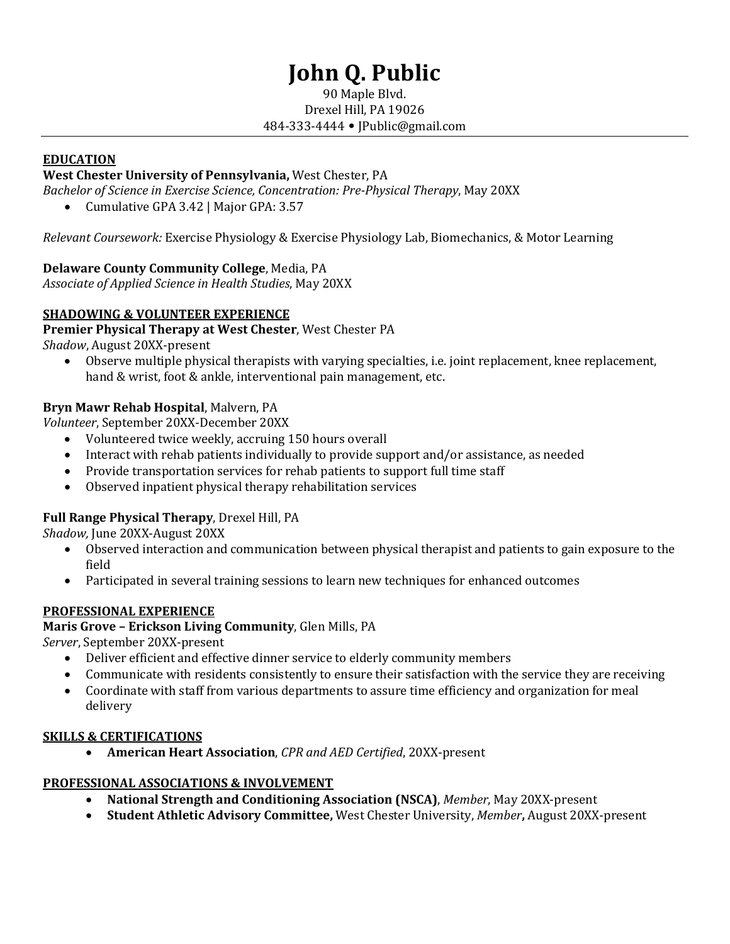# **John Q. Public**

#### 90 Maple Blvd. Drexel Hill, PA 19026 484-333-4444 • JPublic@gmail.com

#### **EDUCATION**

#### **West Chester University of Pennsylvania,** West Chester, PA

*Bachelor of Science in Exercise Science, Concentration: Pre-Physical Therapy*, May 20XX

• Cumulative GPA 3.42 | Major GPA: 3.57

*Relevant Coursework:* Exercise Physiology & Exercise Physiology Lab, Biomechanics, & Motor Learning

#### **Delaware County Community College**, Media, PA

*Associate of Applied Science in Health Studies*, May 20XX

#### **SHADOWING & VOLUNTEER EXPERIENCE**

**Premier Physical Therapy at West Chester**, West Chester PA

*Shadow*, August 20XX-present

• Observe multiple physical therapists with varying specialties, i.e. joint replacement, knee replacement, hand & wrist, foot & ankle, interventional pain management, etc.

#### **Bryn Mawr Rehab Hospital**, Malvern, PA

*Volunteer*, September 20XX-December 20XX

- Volunteered twice weekly, accruing 150 hours overall
- Interact with rehab patients individually to provide support and/or assistance, as needed
- Provide transportation services for rehab patients to support full time staff
- Observed inpatient physical therapy rehabilitation services

#### **Full Range Physical Therapy**, Drexel Hill, PA

*Shadow,* June 20XX-August 20XX

- Observed interaction and communication between physical therapist and patients to gain exposure to the field
- Participated in several training sessions to learn new techniques for enhanced outcomes

#### **PROFESSIONAL EXPERIENCE**

**Maris Grove – Erickson Living Community**, Glen Mills, PA

*Server*, September 20XX-present

- Deliver efficient and effective dinner service to elderly community members
- Communicate with residents consistently to ensure their satisfaction with the service they are receiving
- Coordinate with staff from various departments to assure time efficiency and organization for meal delivery

#### **SKILLS & CERTIFICATIONS**

• **American Heart Association**, *CPR and AED Certified*, 20XX-present

#### **PROFESSIONAL ASSOCIATIONS & INVOLVEMENT**

- **National Strength and Conditioning Association (NSCA)**, *Member*, May 20XX-present
- **Student Athletic Advisory Committee,** West Chester University, *Member***,** August 20XX-present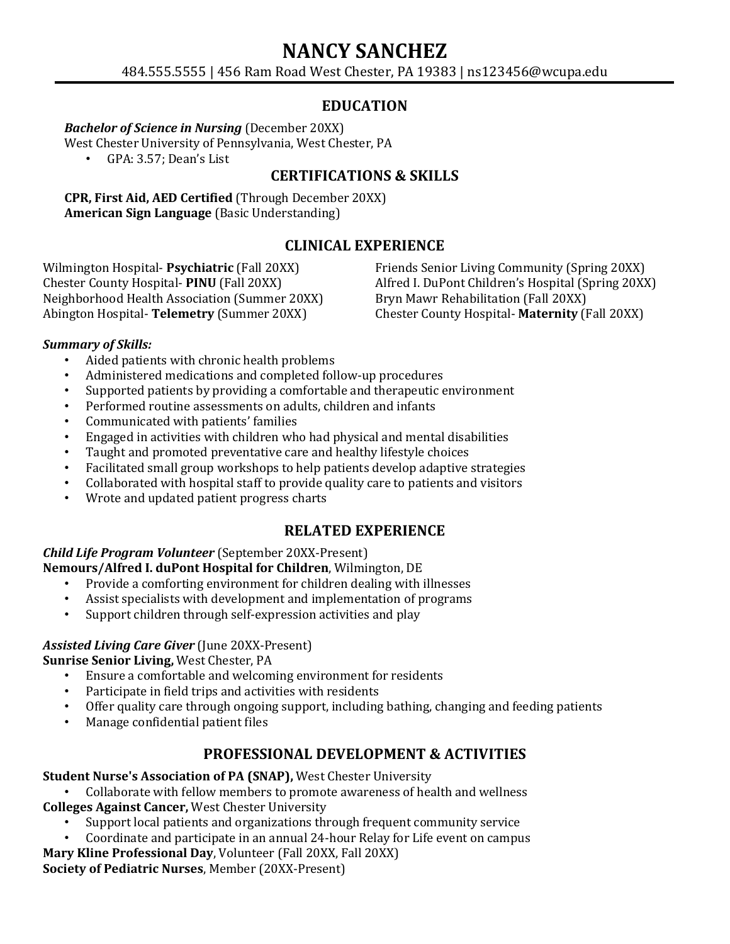# **NANCY SANCHEZ**

484.555.5555 | 456 Ram Road West Chester, PA 19383 | ns123456@wcupa.edu

### **EDUCATION**

#### *Bachelor of Science in Nursing* (December 20XX)

West Chester University of Pennsylvania, West Chester, PA<br>
• GPA: 3.57: Dean's List

• GPA: 3.57; Dean's List

### **CERTIFICATIONS & SKILLS**

**CPR, First Aid, AED Certified** (Through December 20XX) **American Sign Language** (Basic Understanding)

#### **CLINICAL EXPERIENCE**

Wilmington Hospital- **Psychiatric** (Fall 20XX) Chester County Hospital- **PINU** (Fall 20XX) Neighborhood Health Association (Summer 20XX) Abington Hospital- **Telemetry** (Summer 20XX)

Friends Senior Living Community (Spring 20XX) Alfred I. DuPont Children's Hospital (Spring 20XX) Bryn Mawr Rehabilitation (Fall 20XX) Chester County Hospital- **Maternity** (Fall 20XX)

#### *Summary of Skills:*

- Aided patients with chronic health problems
- Administered medications and completed follow-up procedures
- Supported patients by providing a comfortable and therapeutic environment
- Performed routine assessments on adults, children and infants
- Communicated with patients' families
- Engaged in activities with children who had physical and mental disabilities
- Taught and promoted preventative care and healthy lifestyle choices
- Facilitated small group workshops to help patients develop adaptive strategies
- Collaborated with hospital staff to provide quality care to patients and visitors
- Wrote and updated patient progress charts

### **RELATED EXPERIENCE**

*Child Life Program Volunteer* (September 20XX-Present) **Nemours/Alfred I. duPont Hospital for Children**, Wilmington, DE

- Provide a comforting environment for children dealing with illnesses
- Assist specialists with development and implementation of programs
- Support children through self-expression activities and play

#### *Assisted Living Care Giver* (June 20XX-Present)

**Sunrise Senior Living, West Chester, PA**<br>**•** Ensure a comfortable and welcom

- Ensure a comfortable and welcoming environment for residents
- Participate in field trips and activities with residents
- Offer quality care through ongoing support, including bathing, changing and feeding patients
- Manage confidential patient files

### **PROFESSIONAL DEVELOPMENT & ACTIVITIES**

**Student Nurse's Association of PA (SNAP),** West Chester University

• Collaborate with fellow members to promote awareness of health and wellness **Colleges Against Cancer,** West Chester University

- Support local patients and organizations through frequent community service
- Coordinate and participate in an annual 24-hour Relay for Life event on campus

**Mary Kline Professional Day**, Volunteer (Fall 20XX, Fall 20XX) **Society of Pediatric Nurses**, Member (20XX-Present)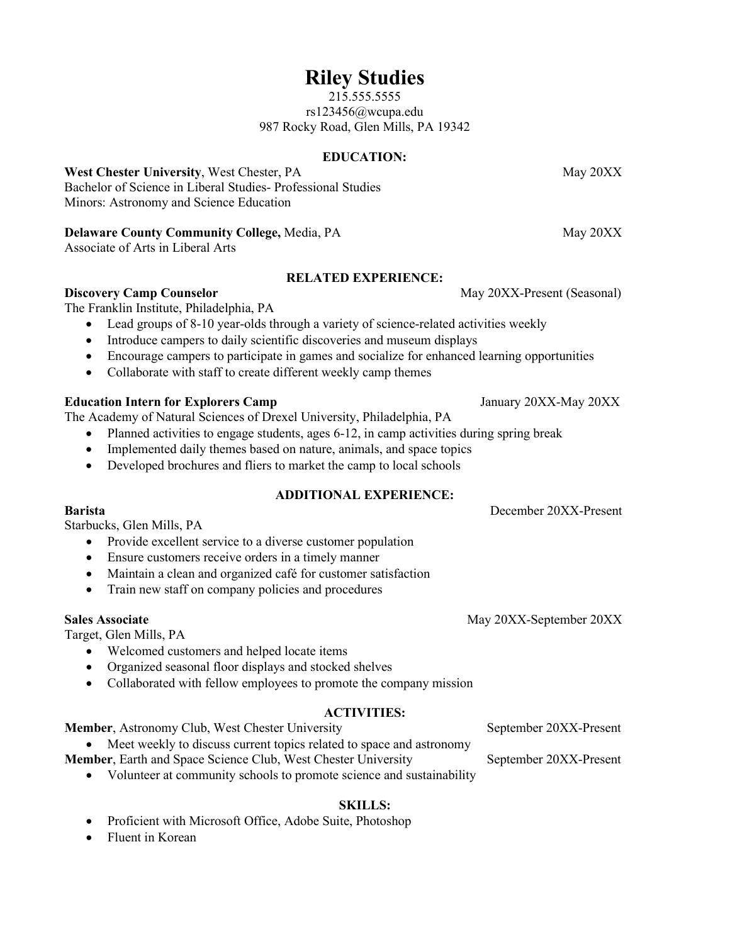## **Riley Studies**

215.555.5555 rs123456@wcupa.edu 987 Rocky Road, Glen Mills, PA 19342

#### **EDUCATION:**

**West Chester University**, West Chester, PA May 20XX Bachelor of Science in Liberal Studies- Professional Studies Minors: Astronomy and Science Education

#### **Delaware County Community College, Media, PA** May 20XX

Associate of Arts in Liberal Arts

#### **RELATED EXPERIENCE:**

**Discovery Camp Counselor** May 20XX-Present (Seasonal)

The Franklin Institute, Philadelphia, PA

- Lead groups of 8-10 year-olds through a variety of science-related activities weekly
- Introduce campers to daily scientific discoveries and museum displays
- Encourage campers to participate in games and socialize for enhanced learning opportunities
- Collaborate with staff to create different weekly camp themes

#### **Education Intern for Explorers Camp** January 20XX-May 20XX

The Academy of Natural Sciences of Drexel University, Philadelphia, PA

- Planned activities to engage students, ages 6-12, in camp activities during spring break
- Implemented daily themes based on nature, animals, and space topics
- Developed brochures and fliers to market the camp to local schools

#### **ADDITIONAL EXPERIENCE:**

**Barista** December 20XX-Present

Starbucks, Glen Mills, PA

- Provide excellent service to a diverse customer population
- Ensure customers receive orders in a timely manner
- Maintain a clean and organized café for customer satisfaction
- Train new staff on company policies and procedures

#### **Sales Associate** May 20XX-September 20XX

Target, Glen Mills, PA

- Welcomed customers and helped locate items
- Organized seasonal floor displays and stocked shelves
- Collaborated with fellow employees to promote the company mission

#### **ACTIVITIES:**

**Member**, Astronomy Club, West Chester University September 20XX-Present

• Meet weekly to discuss current topics related to space and astronomy

- **Member**, Earth and Space Science Club, West Chester University September 20XX-Present
	- Volunteer at community schools to promote science and sustainability

#### **SKILLS:**

- Proficient with Microsoft Office, Adobe Suite, Photoshop
- Fluent in Korean

- 
- 
-